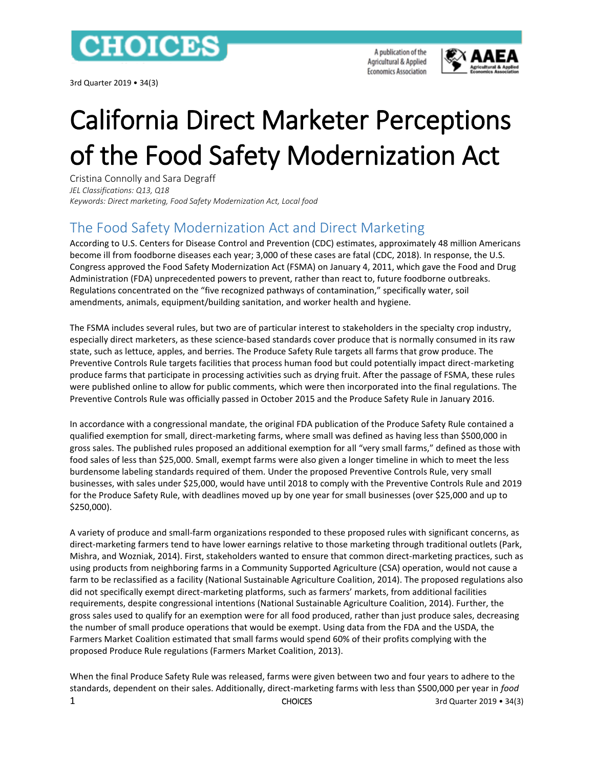

3rd Quarter 2019 • 34(3)

A publication of the Agricultural & Applied **Economics Association** 



# California Direct Marketer Perceptions of the Food Safety Modernization Act

Cristina Connolly and Sara Degraff *JEL Classifications: Q13, Q18 Keywords: Direct marketing, Food Safety Modernization Act, Local food*

# The Food Safety Modernization Act and Direct Marketing

According to U.S. Centers for Disease Control and Prevention (CDC) estimates, approximately 48 million Americans become ill from foodborne diseases each year; 3,000 of these cases are fatal (CDC, 2018). In response, the U.S. Congress approved the Food Safety Modernization Act (FSMA) on January 4, 2011, which gave the Food and Drug Administration (FDA) unprecedented powers to prevent, rather than react to, future foodborne outbreaks. Regulations concentrated on the "five recognized pathways of contamination," specifically water, soil amendments, animals, equipment/building sanitation, and worker health and hygiene.

The FSMA includes several rules, but two are of particular interest to stakeholders in the specialty crop industry, especially direct marketers, as these science-based standards cover produce that is normally consumed in its raw state, such as lettuce, apples, and berries. The Produce Safety Rule targets all farms that grow produce. The Preventive Controls Rule targets facilities that process human food but could potentially impact direct-marketing produce farms that participate in processing activities such as drying fruit. After the passage of FSMA, these rules were published online to allow for public comments, which were then incorporated into the final regulations. The Preventive Controls Rule was officially passed in October 2015 and the Produce Safety Rule in January 2016.

In accordance with a congressional mandate, the original FDA publication of the Produce Safety Rule contained a qualified exemption for small, direct-marketing farms, where small was defined as having less than \$500,000 in gross sales. The published rules proposed an additional exemption for all "very small farms," defined as those with food sales of less than \$25,000. Small, exempt farms were also given a longer timeline in which to meet the less burdensome labeling standards required of them. Under the proposed Preventive Controls Rule, very small businesses, with sales under \$25,000, would have until 2018 to comply with the Preventive Controls Rule and 2019 for the Produce Safety Rule, with deadlines moved up by one year for small businesses (over \$25,000 and up to \$250,000).

A variety of produce and small-farm organizations responded to these proposed rules with significant concerns, as direct-marketing farmers tend to have lower earnings relative to those marketing through traditional outlets (Park, Mishra, and Wozniak, 2014). First, stakeholders wanted to ensure that common direct-marketing practices, such as using products from neighboring farms in a Community Supported Agriculture (CSA) operation, would not cause a farm to be reclassified as a facility (National Sustainable Agriculture Coalition, 2014). The proposed regulations also did not specifically exempt direct-marketing platforms, such as farmers' markets, from additional facilities requirements, despite congressional intentions (National Sustainable Agriculture Coalition, 2014). Further, the gross sales used to qualify for an exemption were for all food produced, rather than just produce sales, decreasing the number of small produce operations that would be exempt. Using data from the FDA and the USDA, the Farmers Market Coalition estimated that small farms would spend 60% of their profits complying with the proposed Produce Rule regulations (Farmers Market Coalition, 2013).

1 CHOICES 3rd Quarter 2019 • 34(3) When the final Produce Safety Rule was released, farms were given between two and four years to adhere to the standards, dependent on their sales. Additionally, direct-marketing farms with less than \$500,000 per year in *food*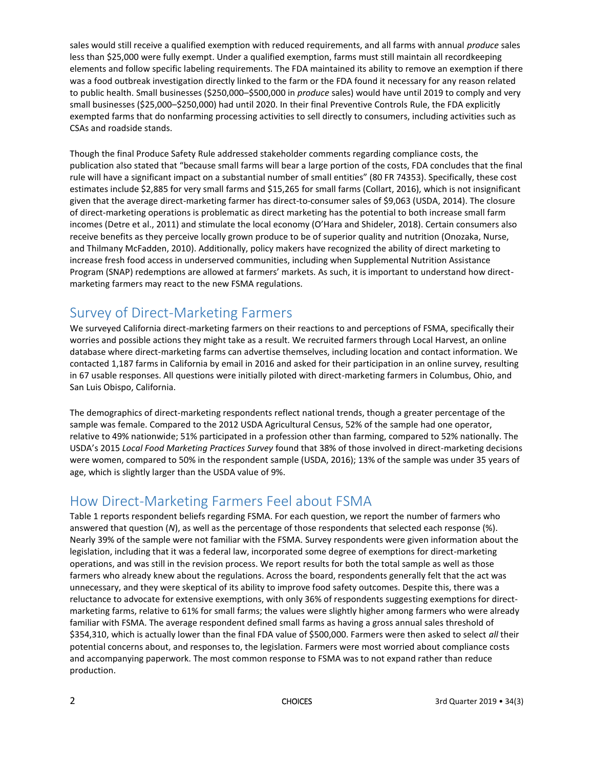sales would still receive a qualified exemption with reduced requirements, and all farms with annual *produce* sales less than \$25,000 were fully exempt. Under a qualified exemption, farms must still maintain all recordkeeping elements and follow specific labeling requirements. The FDA maintained its ability to remove an exemption if there was a food outbreak investigation directly linked to the farm or the FDA found it necessary for any reason related to public health. Small businesses (\$250,000–\$500,000 in *produce* sales) would have until 2019 to comply and very small businesses (\$25,000–\$250,000) had until 2020. In their final Preventive Controls Rule, the FDA explicitly exempted farms that do nonfarming processing activities to sell directly to consumers, including activities such as CSAs and roadside stands.

Though the final Produce Safety Rule addressed stakeholder comments regarding compliance costs, the publication also stated that "because small farms will bear a large portion of the costs, FDA concludes that the final rule will have a significant impact on a substantial number of small entities" (80 FR 74353). Specifically, these cost estimates include \$2,885 for very small farms and \$15,265 for small farms (Collart, 2016), which is not insignificant given that the average direct-marketing farmer has direct-to-consumer sales of \$9,063 (USDA, 2014). The closure of direct-marketing operations is problematic as direct marketing has the potential to both increase small farm incomes (Detre et al., 2011) and stimulate the local economy (O'Hara and Shideler, 2018). Certain consumers also receive benefits as they perceive locally grown produce to be of superior quality and nutrition (Onozaka, Nurse, and Thilmany McFadden, 2010). Additionally, policy makers have recognized the ability of direct marketing to increase fresh food access in underserved communities, including when Supplemental Nutrition Assistance Program (SNAP) redemptions are allowed at farmers' markets. As such, it is important to understand how directmarketing farmers may react to the new FSMA regulations.

# Survey of Direct-Marketing Farmers

We surveyed California direct-marketing farmers on their reactions to and perceptions of FSMA, specifically their worries and possible actions they might take as a result. We recruited farmers through Local Harvest, an online database where direct-marketing farms can advertise themselves, including location and contact information. We contacted 1,187 farms in California by email in 2016 and asked for their participation in an online survey, resulting in 67 usable responses. All questions were initially piloted with direct-marketing farmers in Columbus, Ohio, and San Luis Obispo, California.

The demographics of direct-marketing respondents reflect national trends, though a greater percentage of the sample was female. Compared to the 2012 USDA Agricultural Census, 52% of the sample had one operator, relative to 49% nationwide; 51% participated in a profession other than farming, compared to 52% nationally. The USDA's 2015 *Local Food Marketing Practices Survey* found that 38% of those involved in direct-marketing decisions were women, compared to 50% in the respondent sample (USDA, 2016); 13% of the sample was under 35 years of age, which is slightly larger than the USDA value of 9%.

## How Direct-Marketing Farmers Feel about FSMA

Table 1 reports respondent beliefs regarding FSMA. For each question, we report the number of farmers who answered that question (*N*), as well as the percentage of those respondents that selected each response (%). Nearly 39% of the sample were not familiar with the FSMA. Survey respondents were given information about the legislation, including that it was a federal law, incorporated some degree of exemptions for direct-marketing operations, and was still in the revision process. We report results for both the total sample as well as those farmers who already knew about the regulations. Across the board, respondents generally felt that the act was unnecessary, and they were skeptical of its ability to improve food safety outcomes. Despite this, there was a reluctance to advocate for extensive exemptions, with only 36% of respondents suggesting exemptions for directmarketing farms, relative to 61% for small farms; the values were slightly higher among farmers who were already familiar with FSMA. The average respondent defined small farms as having a gross annual sales threshold of \$354,310, which is actually lower than the final FDA value of \$500,000. Farmers were then asked to select *all* their potential concerns about, and responses to, the legislation. Farmers were most worried about compliance costs and accompanying paperwork. The most common response to FSMA was to not expand rather than reduce production.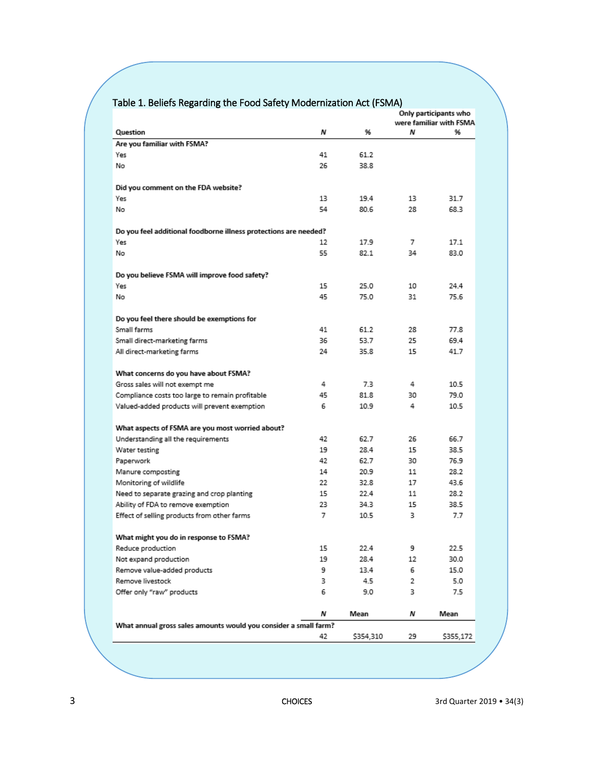| Table 1. Beliefs Regarding the Food Safety Modernization Act (FSMA) |  |
|---------------------------------------------------------------------|--|
|---------------------------------------------------------------------|--|

|                                                                  |    |           | Only participants who<br>were familiar with FSMA |           |  |  |
|------------------------------------------------------------------|----|-----------|--------------------------------------------------|-----------|--|--|
| Question                                                         | Ν  | 96        | Ν                                                | 96        |  |  |
| Are you familiar with FSMA?                                      |    |           |                                                  |           |  |  |
| Yes                                                              | 41 | 61.2      |                                                  |           |  |  |
| No                                                               | 26 | 38.8      |                                                  |           |  |  |
|                                                                  |    |           |                                                  |           |  |  |
| Did you comment on the FDA website?                              |    |           |                                                  |           |  |  |
| Yes                                                              | 13 | 19.4      | 13                                               | 31.7      |  |  |
| No                                                               | 54 | 80.6      | 28                                               | 68.3      |  |  |
|                                                                  |    |           |                                                  |           |  |  |
| Do you feel additional foodborne illness protections are needed? |    |           |                                                  |           |  |  |
| Yes                                                              | 12 | 17.9      | 7                                                | 17.1      |  |  |
| No                                                               | 55 | 82.1      | 34                                               | 83.0      |  |  |
|                                                                  |    |           |                                                  |           |  |  |
| Do you believe FSMA will improve food safety?                    |    |           |                                                  |           |  |  |
| Yes                                                              | 15 | 25.0      | 10                                               | 24.4      |  |  |
| No                                                               | 45 | 75.0      | 31                                               | 75.6      |  |  |
|                                                                  |    |           |                                                  |           |  |  |
| Do you feel there should be exemptions for                       |    |           |                                                  |           |  |  |
| Small farms                                                      | 41 | 61.2      | 28                                               | 77.8      |  |  |
| Small direct-marketing farms                                     | 36 | 53.7      | 25                                               | 69.4      |  |  |
| All direct-marketing farms                                       | 24 | 35.8      | 15                                               | 41.7      |  |  |
|                                                                  |    |           |                                                  |           |  |  |
| What concerns do you have about FSMA?                            |    |           |                                                  |           |  |  |
| Gross sales will not exempt me                                   | 4  | 7.3       | 4                                                | 10.5      |  |  |
| Compliance costs too large to remain profitable                  | 45 | 81.8      | 30                                               | 79.0      |  |  |
| Valued-added products will prevent exemption                     | 6  | 10.9      | 4                                                | 10.5      |  |  |
|                                                                  |    |           |                                                  |           |  |  |
| What aspects of FSMA are you most worried about?                 |    |           |                                                  |           |  |  |
| Understanding all the requirements                               | 42 | 62.7      | 26                                               | 66.7      |  |  |
| Water testing                                                    | 19 | 28.4      | 15                                               | 38.5      |  |  |
| Paperwork                                                        | 42 | 62.7      | 30                                               | 76.9      |  |  |
| Manure composting                                                | 14 | 20.9      | 11                                               | 28.2      |  |  |
| Monitoring of wildlife                                           | 22 | 32.8      | 17                                               | 43.6      |  |  |
| Need to separate grazing and crop planting                       | 15 | 22.4      | 11                                               | 28.2      |  |  |
| Ability of FDA to remove exemption                               | 23 | 34.3      | 15                                               | 38.5      |  |  |
| Effect of selling products from other farms                      | 7  | 10.5      | 3.                                               | 7.7       |  |  |
|                                                                  |    |           |                                                  |           |  |  |
| What might you do in response to FSMA?                           |    |           |                                                  |           |  |  |
| Reduce production                                                | 15 | 22.4      | 9                                                | 22.5      |  |  |
| Not expand production                                            | 19 | 28.4      | 12                                               | 30.0      |  |  |
| Remove value-added products                                      | 9  | 13.4      | 6                                                | 15.0      |  |  |
| Remove livestock                                                 | 3  | 4.5       | 2                                                | 5.0       |  |  |
| Offer only "raw" products                                        | 6  | 9.0       | з                                                | 7.5       |  |  |
|                                                                  |    |           |                                                  |           |  |  |
|                                                                  | Ν  | Mean      | Ν                                                | Mean      |  |  |
| What annual gross sales amounts would you consider a small farm? |    |           |                                                  |           |  |  |
|                                                                  | 42 | \$354,310 | 29                                               | \$355,172 |  |  |
|                                                                  |    |           |                                                  |           |  |  |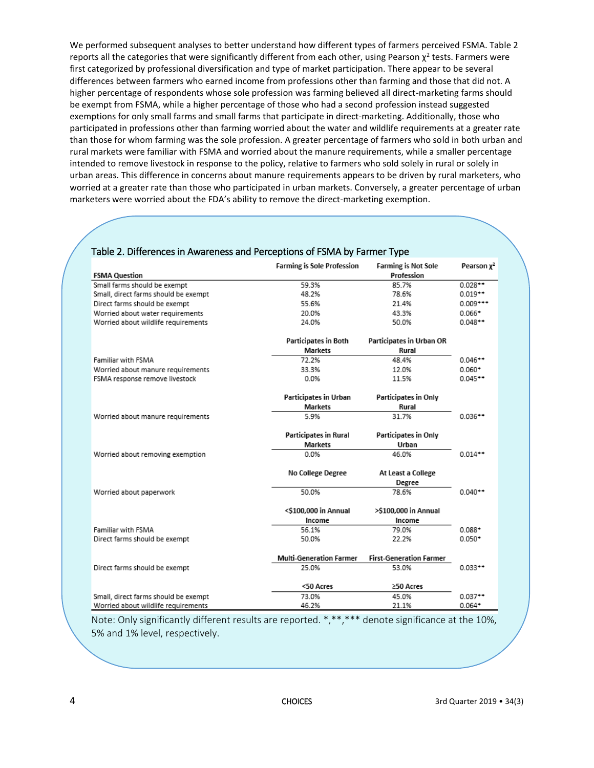We performed subsequent analyses to better understand how different types of farmers perceived FSMA. Table 2 reports all the categories that were significantly different from each other, using Pearson  $\chi^2$  tests. Farmers were first categorized by professional diversification and type of market participation. There appear to be several differences between farmers who earned income from professions other than farming and those that did not. A higher percentage of respondents whose sole profession was farming believed all direct-marketing farms should be exempt from FSMA, while a higher percentage of those who had a second profession instead suggested exemptions for only small farms and small farms that participate in direct-marketing. Additionally, those who participated in professions other than farming worried about the water and wildlife requirements at a greater rate than those for whom farming was the sole profession. A greater percentage of farmers who sold in both urban and rural markets were familiar with FSMA and worried about the manure requirements, while a smaller percentage intended to remove livestock in response to the policy, relative to farmers who sold solely in rural or solely in urban areas. This difference in concerns about manure requirements appears to be driven by rural marketers, who worried at a greater rate than those who participated in urban markets. Conversely, a greater percentage of urban marketers were worried about the FDA's ability to remove the direct-marketing exemption.

|                                      | <b>Farming is Sole Profession</b> | <b>Farming is Not Sole</b>     | Pearson x <sup>2</sup> |
|--------------------------------------|-----------------------------------|--------------------------------|------------------------|
| <b>FSMA Question</b>                 |                                   | Profession                     |                        |
| Small farms should be exempt         | 59.3%                             | 85.7%                          | $0.028**$              |
| Small, direct farms should be exempt | 48.2%                             | 78.6%                          | $0.019**$              |
| Direct farms should be exempt        | 55.6%                             | 21.4%                          | $0.009***$             |
| Worried about water requirements     | 20.0%                             | 43.3%                          | $0.066*$               |
| Worried about wildlife requirements  | 24.0%                             | 50.0%                          | $0.048**$              |
|                                      | Participates in Both              | Participates in Urban OR       |                        |
|                                      | <b>Markets</b>                    | Rural                          |                        |
| Familiar with FSMA                   | 72.2%                             | 48.4%                          | $0.046**$              |
| Worried about manure requirements    | 33.3%                             | 12.0%                          | $0.060*$               |
| FSMA response remove livestock       | 0.0%                              | 11.5%                          | $0.045**$              |
|                                      | Participates in Urban             | Participates in Only           |                        |
|                                      | <b>Markets</b>                    | Rural                          |                        |
| Worried about manure requirements    | 5.9%                              | 31.7%                          | $0.036**$              |
|                                      | <b>Participates in Rural</b>      | Participates in Only           |                        |
|                                      | <b>Markets</b>                    | Urban                          |                        |
| Worried about removing exemption     | 0.0%                              | 46.0%                          | $0.014**$              |
|                                      | No College Degree                 | At Least a College             |                        |
|                                      |                                   | Degree                         |                        |
| Worried about paperwork              | 50.0%                             | 78.6%                          | $0.040**$              |
|                                      | <\$100,000 in Annual              | >\$100,000 in Annual           |                        |
|                                      | Income                            | Income                         |                        |
| Familiar with FSMA                   | 56.1%                             | 79.0%                          | $0.088 +$              |
| Direct farms should be exempt        | 50.0%                             | 22.2%                          | $0.050*$               |
|                                      | <b>Multi-Generation Farmer</b>    | <b>First-Generation Farmer</b> |                        |
| Direct farms should be exempt        | 25.0%                             | 53.0%                          | $0.033**$              |
|                                      | <50 Acres                         | ≥50 Acres                      |                        |
| Small, direct farms should be exempt | 73.0%                             | 45.0%                          | $0.037**$              |
| Worried about wildlife requirements  | 46.2%                             | 21.1%                          | $0.064*$               |

#### [Table 2. Differences in Awareness and Perceptions of FSMA by Farmer Type](http://www.choicesmagazine.org/UserFiles/image/ConnollyTable2.png)

Note: Only significantly different results are reported. \*,\*\*,\*\*\* denote significance at the 10%, 5% and 1% level, respectively.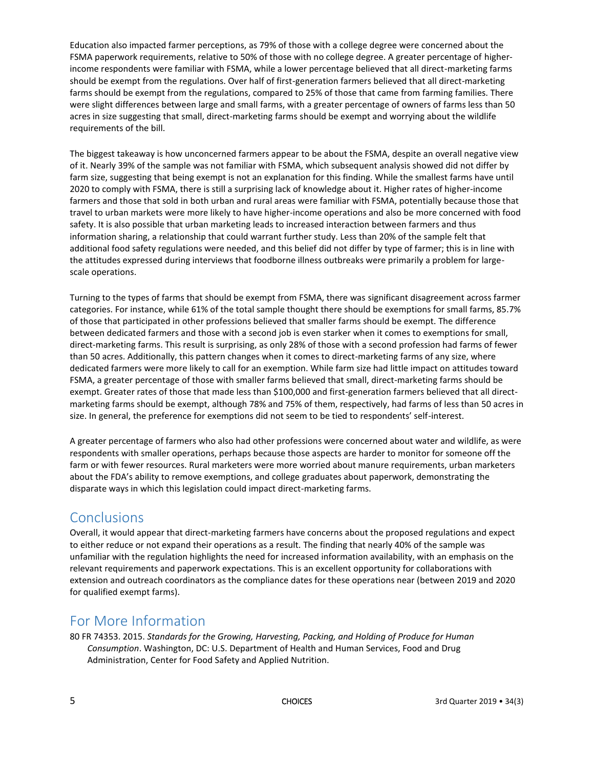Education also impacted farmer perceptions, as 79% of those with a college degree were concerned about the FSMA paperwork requirements, relative to 50% of those with no college degree. A greater percentage of higherincome respondents were familiar with FSMA, while a lower percentage believed that all direct-marketing farms should be exempt from the regulations. Over half of first-generation farmers believed that all direct-marketing farms should be exempt from the regulations, compared to 25% of those that came from farming families. There were slight differences between large and small farms, with a greater percentage of owners of farms less than 50 acres in size suggesting that small, direct-marketing farms should be exempt and worrying about the wildlife requirements of the bill.

The biggest takeaway is how unconcerned farmers appear to be about the FSMA, despite an overall negative view of it. Nearly 39% of the sample was not familiar with FSMA, which subsequent analysis showed did not differ by farm size, suggesting that being exempt is not an explanation for this finding. While the smallest farms have until 2020 to comply with FSMA, there is still a surprising lack of knowledge about it. Higher rates of higher-income farmers and those that sold in both urban and rural areas were familiar with FSMA, potentially because those that travel to urban markets were more likely to have higher-income operations and also be more concerned with food safety. It is also possible that urban marketing leads to increased interaction between farmers and thus information sharing, a relationship that could warrant further study. Less than 20% of the sample felt that additional food safety regulations were needed, and this belief did not differ by type of farmer; this is in line with the attitudes expressed during interviews that foodborne illness outbreaks were primarily a problem for largescale operations.

Turning to the types of farms that should be exempt from FSMA, there was significant disagreement across farmer categories. For instance, while 61% of the total sample thought there should be exemptions for small farms, 85.7% of those that participated in other professions believed that smaller farms should be exempt. The difference between dedicated farmers and those with a second job is even starker when it comes to exemptions for small, direct-marketing farms. This result is surprising, as only 28% of those with a second profession had farms of fewer than 50 acres. Additionally, this pattern changes when it comes to direct-marketing farms of any size, where dedicated farmers were more likely to call for an exemption. While farm size had little impact on attitudes toward FSMA, a greater percentage of those with smaller farms believed that small, direct-marketing farms should be exempt. Greater rates of those that made less than \$100,000 and first-generation farmers believed that all directmarketing farms should be exempt, although 78% and 75% of them, respectively, had farms of less than 50 acres in size. In general, the preference for exemptions did not seem to be tied to respondents' self-interest.

A greater percentage of farmers who also had other professions were concerned about water and wildlife, as were respondents with smaller operations, perhaps because those aspects are harder to monitor for someone off the farm or with fewer resources. Rural marketers were more worried about manure requirements, urban marketers about the FDA's ability to remove exemptions, and college graduates about paperwork, demonstrating the disparate ways in which this legislation could impact direct-marketing farms.

### **Conclusions**

Overall, it would appear that direct-marketing farmers have concerns about the proposed regulations and expect to either reduce or not expand their operations as a result. The finding that nearly 40% of the sample was unfamiliar with the regulation highlights the need for increased information availability, with an emphasis on the relevant requirements and paperwork expectations. This is an excellent opportunity for collaborations with extension and outreach coordinators as the compliance dates for these operations near (between 2019 and 2020 for qualified exempt farms).

## For More Information

80 FR 74353. 2015. *Standards for the Growing, Harvesting, Packing, and Holding of Produce for Human Consumption*. Washington, DC: U.S. Department of Health and Human Services, Food and Drug Administration, Center for Food Safety and Applied Nutrition.